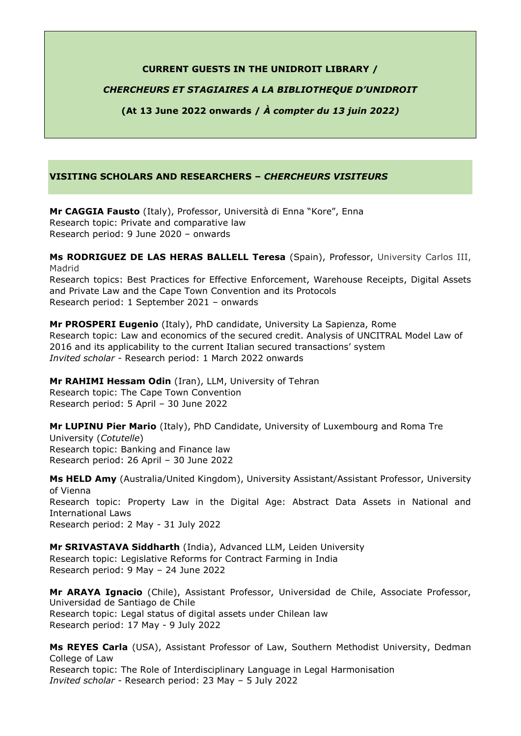### **CURRENT GUESTS IN THE UNIDROIT LIBRARY /**

## *CHERCHEURS ET STAGIAIRES A LA BIBLIOTHEQUE D'UNIDROIT*

**(At 13 June 2022 onwards /** *À compter du 13 juin 2022)*

## **VISITING SCHOLARS AND RESEARCHERS –** *CHERCHEURS VISITEURS*

**Mr CAGGIA Fausto** (Italy), Professor, Università di Enna "Kore", Enna Research topic: Private and comparative law Research period: 9 June 2020 – onwards

**Ms RODRIGUEZ DE LAS HERAS BALLELL Teresa** (Spain), Professor, University Carlos III, Madrid Research topics: Best Practices for Effective Enforcement, Warehouse Receipts, Digital Assets and Private Law and the Cape Town Convention and its Protocols

Research period: 1 September 2021 – onwards

**Mr PROSPERI Eugenio** (Italy), PhD candidate, University La Sapienza, Rome Research topic: Law and economics of the secured credit. Analysis of UNCITRAL Model Law of 2016 and its applicability to the current Italian secured transactions' system *Invited scholar* - Research period: 1 March 2022 onwards

**Mr RAHIMI Hessam Odin** (Iran), LLM, University of Tehran Research topic: The Cape Town Convention Research period: 5 April – 30 June 2022

**Mr LUPINU Pier Mario** (Italy), PhD Candidate, University of Luxembourg and Roma Tre University (*Cotutelle*) Research topic: Banking and Finance law Research period: 26 April – 30 June 2022

**Ms HELD Amy** (Australia/United Kingdom), University Assistant/Assistant Professor, University of Vienna Research topic: Property Law in the Digital Age: Abstract Data Assets in National and International Laws Research period: 2 May - 31 July 2022

**Mr SRIVASTAVA Siddharth** (India), Advanced LLM, Leiden University Research topic: Legislative Reforms for Contract Farming in India Research period: 9 May – 24 June 2022

**Mr ARAYA Ignacio** (Chile), Assistant Professor, Universidad de Chile, Associate Professor, Universidad de Santiago de Chile Research topic: Legal status of digital assets under Chilean law Research period: 17 May - 9 July 2022

**Ms REYES Carla** (USA), Assistant Professor of Law, Southern Methodist University, Dedman College of Law Research topic: The Role of Interdisciplinary Language in Legal Harmonisation *Invited scholar -* Research period: 23 May – 5 July 2022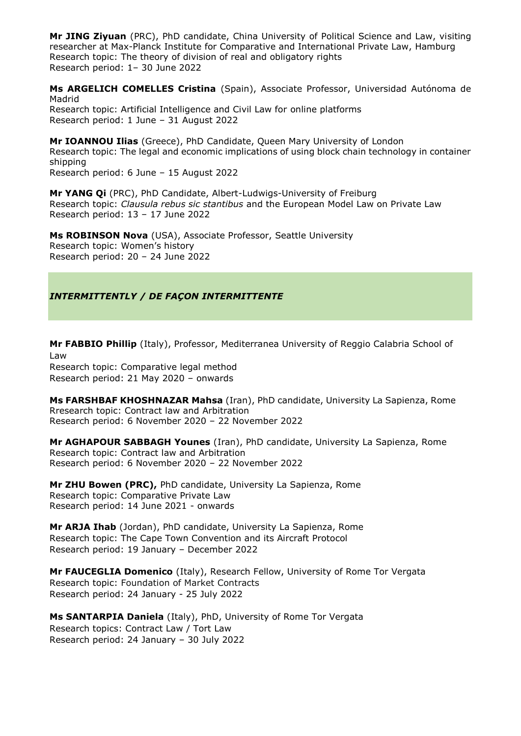**Mr JING Ziyuan** (PRC), PhD candidate, China University of Political Science and Law, visiting researcher at Max-Planck Institute for Comparative and International Private Law, Hamburg Research topic: The theory of division of real and obligatory rights Research period: 1– 30 June 2022

**Ms ARGELICH COMELLES Cristina** (Spain), Associate Professor, Universidad Autónoma de Madrid Research topic: Artificial Intelligence and Civil Law for online platforms Research period: 1 June – 31 August 2022

**Mr IOANNOU Ilias** (Greece), PhD Candidate, Queen Mary University of London Research topic: The legal and economic implications of using block chain technology in container shipping

Research period: 6 June – 15 August 2022

**Mr YANG Qi** (PRC), PhD Candidate, Albert-Ludwigs-University of Freiburg Research topic: *Clausula rebus sic stantibus* and the European Model Law on Private Law Research period: 13 – 17 June 2022

**Ms ROBINSON Nova** (USA), Associate Professor, Seattle University Research topic: Women's history Research period: 20 – 24 June 2022

# *INTERMITTENTLY / DE FAÇON INTERMITTENTE*

**Mr FABBIO Phillip** (Italy), Professor, Mediterranea University of Reggio Calabria School of Law

Research topic: Comparative legal method Research period: 21 May 2020 – onwards

**Ms FARSHBAF [KHOSHNAZAR](file://///qnap1/Unidroit/Personal%20Shared%20Folders/Tikanvaara/Read%20Only/CV%20INDRES%20during%202018/CV%20Mahsa%20Farshbaf%20Khoshnazar%20INDRES%20Iran.pdf) Mahsa** (Iran), PhD candidate, University La Sapienza, Rome Rresearch topic: Contract law and Arbitration Research period: 6 November 2020 – 22 November 2022

**Mr AGHAPOUR SABBAGH Younes** (Iran), PhD candidate, University La Sapienza, Rome Research topic: Contract law and Arbitration Research period: 6 November 2020 – 22 November 2022

**Mr ZHU Bowen (PRC),** PhD candidate, University La Sapienza, Rome Research topic: Comparative Private Law Research period: 14 June 2021 - onwards

**Mr ARJA Ihab** (Jordan), PhD candidate, University La Sapienza, Rome Research topic: The Cape Town Convention and its Aircraft Protocol Research period: 19 January – December 2022

**Mr FAUCEGLIA Domenico** (Italy), Research Fellow, University of Rome Tor Vergata Research topic: Foundation of Market Contracts Research period: 24 January - 25 July 2022

**Ms SANTARPIA Daniela** (Italy), PhD, University of Rome Tor Vergata Research topics: Contract Law / Tort Law Research period: 24 January – 30 July 2022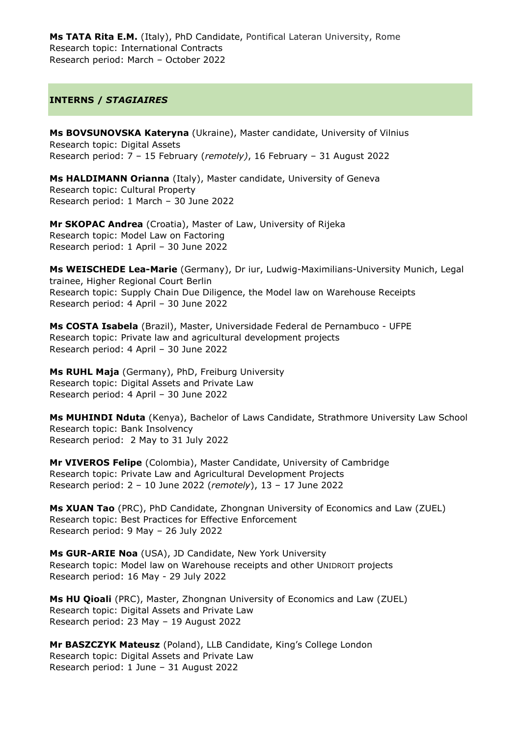**Ms TATA Rita E.M.** (Italy), PhD Candidate, Pontifical Lateran University, Rome Research topic: International Contracts Research period: March – October 2022

### **INTERNS /** *STAGIAIRES*

**Ms BOVSUNOVSKA Kateryna** (Ukraine), Master candidate, University of Vilnius Research topic: Digital Assets Research period: 7 – 15 February (*remotely)*, 16 February – 31 August 2022

**Ms HALDIMANN Orianna** (Italy), Master candidate, University of Geneva Research topic: Cultural Property Research period: 1 March – 30 June 2022

**Mr SKOPAC Andrea** (Croatia), Master of Law, University of Rijeka Research topic: Model Law on Factoring Research period: 1 April – 30 June 2022

**Ms WEISCHEDE Lea-Marie** (Germany), Dr iur, Ludwig-Maximilians-University Munich, Legal trainee, Higher Regional Court Berlin Research topic: Supply Chain Due Diligence, the Model law on Warehouse Receipts Research period: 4 April – 30 June 2022

**Ms COSTA Isabela** (Brazil), Master, Universidade Federal de Pernambuco - UFPE Research topic: Private law and agricultural development projects Research period: 4 April – 30 June 2022

**Ms RUHL Maja** (Germany), PhD, Freiburg University Research topic: Digital Assets and Private Law Research period: 4 April – 30 June 2022

**Ms MUHINDI Nduta** (Kenya), Bachelor of Laws Candidate, Strathmore University Law School Research topic: Bank Insolvency Research period: 2 May to 31 July 2022

**Mr VIVEROS Felipe** (Colombia), Master Candidate, University of Cambridge Research topic: Private Law and Agricultural Development Projects Research period: 2 – 10 June 2022 (*remotely*), 13 – 17 June 2022

**Ms XUAN Tao** (PRC), PhD Candidate, Zhongnan University of Economics and Law (ZUEL) Research topic: Best Practices for Effective Enforcement Research period: 9 May – 26 July 2022

**Ms GUR-ARIE Noa** (USA), JD Candidate, New York University Research topic: Model law on Warehouse receipts and other UNIDROIT projects Research period: 16 May - 29 July 2022

**Ms HU Qioali** (PRC), Master, Zhongnan University of Economics and Law (ZUEL) Research topic: Digital Assets and Private Law Research period: 23 May – 19 August 2022

**Mr BASZCZYK Mateusz** (Poland), LLB Candidate, King's College London Research topic: Digital Assets and Private Law Research period: 1 June – 31 August 2022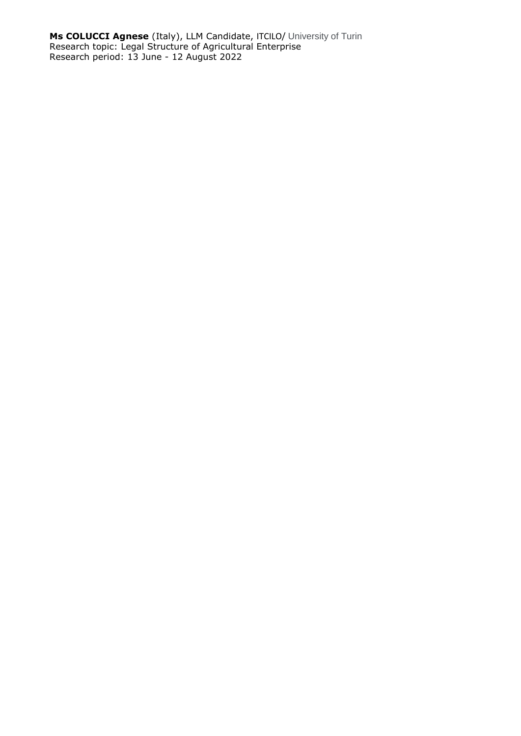**Ms COLUCCI Agnese** (Italy), LLM Candidate, ITCILO/ University of Turin Research topic: Legal Structure of Agricultural Enterprise Research period: 13 June - 12 August 2022